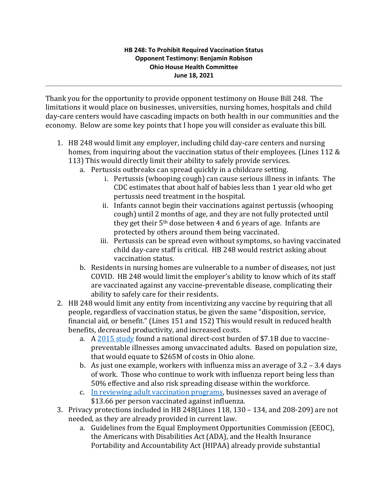Thank you for the opportunity to provide opponent testimony on House Bill 248. The limitations it would place on businesses, universities, nursing homes, hospitals and child day-care centers would have cascading impacts on both health in our communities and the economy. Below are some key points that I hope you will consider as evaluate this bill.

- 1. HB 248 would limit any employer, including child day-care centers and nursing homes, from inquiring about the vaccination status of their employees. (Lines 112 & 113) This would directly limit their ability to safely provide services.
	- a. Pertussis outbreaks can spread quickly in a childcare setting.
		- i. Pertussis (whooping cough) can cause serious illness in infants. The CDC estimates that about half of babies less than 1 year old who get pertussis need treatment in the hospital.
		- ii. Infants cannot begin their vaccinations against pertussis (whooping cough) until 2 months of age, and they are not fully protected until they get their 5th dose between 4 and 6 years of age. Infants are protected by others around them being vaccinated.
		- iii. Pertussis can be spread even without symptoms, so having vaccinated child day-care staff is critical. HB 248 would restrict asking about vaccination status.
	- b. Residents in nursing homes are vulnerable to a number of diseases, not just COVID. HB 248 would limit the employer's ability to know which of its staff are vaccinated against any vaccine-preventable disease, complicating their ability to safely care for their residents.
- 2. HB 248 would limit any entity from incentivizing any vaccine by requiring that all people, regardless of vaccination status, be given the same "disposition, service, financial aid, or benefit." (Lines 151 and 152) This would result in reduced health benefits, decreased productivity, and increased costs.
	- a. A [2015 study](https://www.healthaffairs.org/doi/10.1377/hlthaff.2016.0462) found a national direct-cost burden of \$7.1B due to vaccinepreventable illnesses among unvaccinated adults. Based on population size, that would equate to \$265M of costs in Ohio alone.
	- b. As just one example, workers with influenza miss an average of 3.2 3.4 days of work. Those who continue to work with influenza report being less than 50% effective and also risk spreading disease within the workforce.
	- c. [In reviewing adult vaccination programs,](https://jamanetwork.com/journals/jamainternalmedicine/fullarticle/647568) businesses saved an average of \$13.66 per person vaccinated against influenza.
- 3. Privacy protections included in HB 248(Lines 118, 130 134, and 208-209) are not needed, as they are already provided in current law.
	- a. Guidelines from the Equal Employment Opportunities Commission (EEOC), the Americans with Disabilities Act (ADA), and the Health Insurance Portability and Accountability Act (HIPAA) already provide substantial